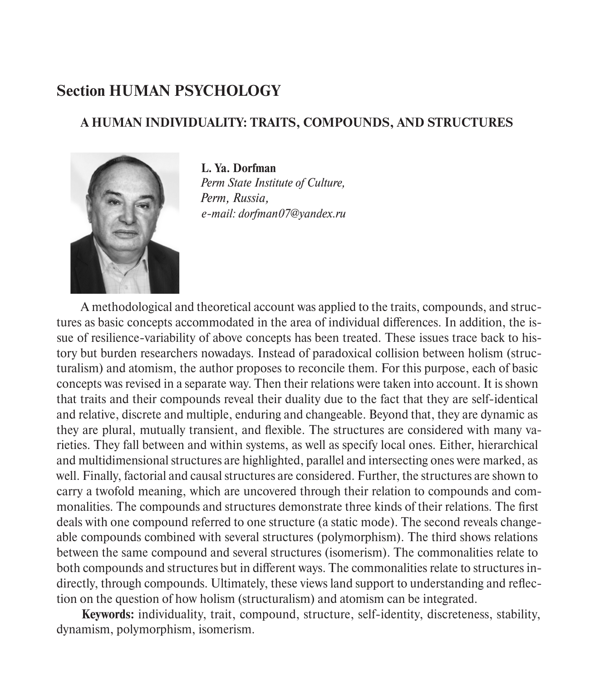## **Section HUMAN PSYCHOLOGY**

## **A HUMAN INDIVIDUALITY: TRAITS, COMPOUNDS, AND STRUCTURES**



**L. Ya. Dorfman** *Perm State Institute of Culture, Perm, Russia, e-mail: dorfman07@yandex.ru*

A methodological and theoretical account was applied to the traits, compounds, and structures as basic concepts accommodated in the area of individual differences. In addition, the issue of resilience-variability of above concepts has been treated. These issues trace back to history but burden researchers nowadays. Instead of paradoxical collision between holism (structuralism) and atomism, the author proposes to reconcile them. For this purpose, each of basic concepts was revised in a separate way. Then their relations were taken into account. It is shown that traits and their compounds reveal their duality due to the fact that they are self-identical and relative, discrete and multiple, enduring and changeable. Beyond that, they are dynamic as they are plural, mutually transient, and flexible. The structures are considered with many varieties. They fall between and within systems, as well as specify local ones. Either, hierarchical and multidimensional structures are highlighted, parallel and intersecting ones were marked, as well. Finally, factorial and causal structures are considered. Further, the structures are shown to carry a twofold meaning, which are uncovered through their relation to compounds and commonalities. The compounds and structures demonstrate three kinds of their relations. The first deals with one compound referred to one structure (a static mode). The second reveals changeable compounds combined with several structures (polymorphism). The third shows relations between the same compound and several structures (isomerism). The commonalities relate to both compounds and structures but in different ways. The commonalities relate to structures indirectly, through compounds. Ultimately, these views land support to understanding and reflection on the question of how holism (structuralism) and atomism can be integrated.

**Keywords:** individuality, trait, compound, structure, self-identity, discreteness, stability, dynamism, polymorphism, isomerism.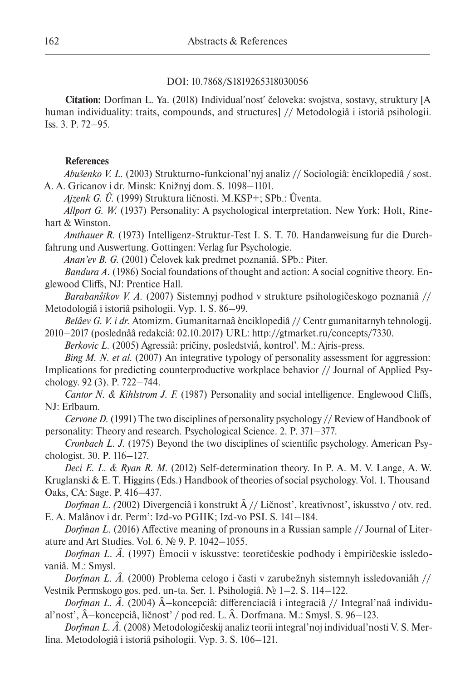## DOI: 10.7868/S1819265318030056

**Citation:** Dorfman L. Ya. (2018) Individualʹnostʹ čeloveka: svojstva, sostavy, struktury [A human individuality: traits, compounds, and structures] // Metodologiâ i istoriâ psihologii. Iss. 3. P. 72–95.

## **References**

*Abušenko V. L.* (2003) Strukturno-funkcional'nyj analiz // Sociologiâ: ènciklopediâ / sost. A. A. Gricanov i dr. Minsk: Knižnyj dom. S. 1098–1101.

*Ajzenk G. Û.* (1999) Struktura ličnosti. M.KSP+; SPb.: Ûventa.

*Allport G. W.* (1937) Personality: A psychological interpretation. New York: Holt, Rinehart & Winston.

*Amthauer R.* (1973) Intelligenz-Struktur-Test I. S. T. 70. Handanweisung fur die Durchfahrung und Auswertung. Gottingen: Verlag fur Psychologie.

*Anan'ev B. G.* (2001) Čelovek kak predmet poznaniâ. SPb.: Piter.

*Bandura A.* (1986) Social foundations of thought and action: A social cognitive theory. Englewood Cliffs, NJ: Prentice Hall.

*Barabanŝikov V. A.* (2007) Sistemnyj podhod v strukture psihologičeskogo poznaniâ // Metodologiâ i istoriâ psihologii. Vyp. 1. S. 86–99.

*Belâev G. V. i dr.* Atomizm. Gumanitarnaâ ènciklopediâ // Centr gumanitarnyh tehnologij. 2010–2017 (poslednââ redakciâ: 02.10.2017) URL: http://gtmarket.ru/concepts/7330.

*Berkovic L.* (2005) Agressiâ: pričiny, posledstviâ, kontrol'. M.: Ajris-press.

*Bing M. N. et al.* (2007) An integrative typology of personality assessment for aggression: Implications for predicting counterproductive workplace behavior // Journal of Applied Psychology. 92 (3). P. 722–744.

*Cantor N. & Kihlstrom J. F.* (1987) Personality and social intelligence. Englewood Cliffs, NJ: Erlbaum.

*Cervone D.* (1991) The two disciplines of personality psychology // Review of Handbook of personality: Theory and research. Psychological Science. 2. P. 371–377.

*Cronbach L. J.* (1975) Beyond the two disciplines of scientific psychology. American Psychologist. 30. P. 116–127.

*Deci E. L. & Ryan R. M.* (2012) Self-determination theory. In P. A. M. V. Lange, A. W. Kruglanski & E. T. Higgins (Eds.) Handbook of theories of social psychology. Vol. 1. Thousand Oaks, CA: Sage. P. 416–437.

*Dorfman L. (2002)* Divergenciâ i konstrukt  $\hat{A}$  // Ličnost', kreativnost', iskusstvo / otv. red. E. A. Malânov i dr. Perm': Izd-vo PGIIK; Izd-vo PSI. S. 141–184.

*Dorfman L.* (2016) Affective meaning of pronouns in a Russian sample // Journal of Literature and Art Studies. Vol. 6. № 9. P. 1042–1055.

*Dorfman L. Â.* (1997) Èmocii v iskusstve: teoretičeskie podhody i èmpiričeskie issledovaniâ. M.: Smysl.

*Dorfman L. Â.* (2000) Problema celogo i časti v zarubežnyh sistemnyh issledovaniâh // Vestnik Permskogo gos. ped. un-ta. Ser. 1. Psihologiâ. № 1–2. S. 114–122.

*Dorfman L. Â.* (2004) Â-koncepciâ: differenciaciâ i integraciâ // Integral'naâ individual'nost', –koncepciâ, ličnost' / pod red. L. Â. Dorfmana. M.: Smysl. S. 96–123.

*Dorfman L. Â.* (2008) Metodologičeskij analiz teorii integral'noj individual'nosti V. S. Merlina. Metodologiâ i istoriâ psihologii. Vyp. 3. S. 106–121.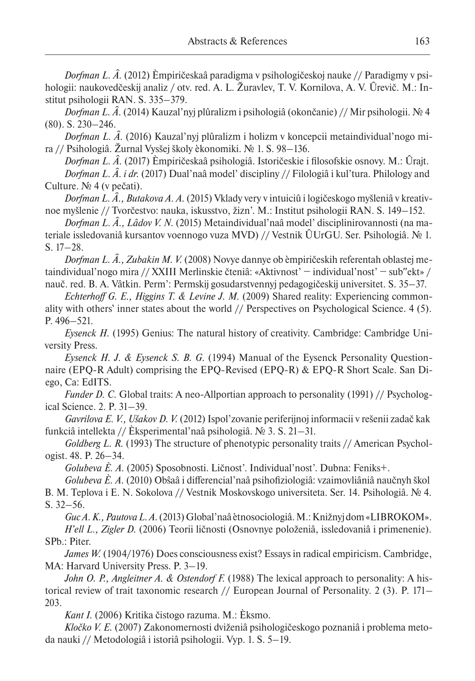*Dorfman L. Â.* (2012) Èmpiričeskaâ paradigma v psihologičeskoj nauke // Paradigmy v psihologii: naukovedčeskij analiz / otv. red. A. L. Žuravlev, T. V. Kornilova, A. V. Ûrevič. M.: Institut psihologii RAN. S. 335–379.

*Dorfman L. Â.* (2014) Kauzal'nyj plûralizm i psihologiâ (okončanie) // Mir psihologii. № 4 (80). S. 230–246.

*Dorfman L. Â.* (2016) Kauzal'nyj plûralizm i holizm v koncepcii metaindividual'nogo mira // Psihologiâ. Žurnal Vysšej školy èkonomiki. № 1. S. 98–136.

*Dorfman L. Â.* (2017) Èmpiričeskaâ psihologiâ. Istoričeskie i filosofskie osnovy. M.: Ûrajt. *Dorfman L. Â. i dr.* (2017) Dual'naâ model' discipliny // Filologiâ i kul'tura. Philology and Culture. № 4 (v pečati).

*Dorfman L. Â., Butakova A. A.* (2015) Vklady very v intuiciû i logičeskogo myšleniâ v kreativnoe myšlenie // Tvorčestvo: nauka, iskusstvo, žizn'. M.: Institut psihologii RAN. S. 149–152.

*Dorfman L. Â., Lâdov V. N.* (2015) Metaindividual'naâ model' disciplinirovannosti (na materiale issledovaniâ kursantov voennogo vuza MVD) // Vestnik ÛUrGU. Ser. Psihologiâ. № 1. S. 17–28.

*Dorfman L. Â., Zubakin M. V.* (2008) Novye dannye ob èmpiričeskih referentah oblastej metaindividual'nogo mira // XXIII Merlinskie čteniâ: «Aktivnost' − individual'nost' − subʺekt» / nauč. red. B. A. Vâtkin. Perm': Permskij gosudarstvennyj pedagogičeskij universitet. S. 35–37.

*Echterhoff G. E., Higgins T. & Levine J. M.* (2009) Shared reality: Experiencing commonality with others' inner states about the world // Perspectives on Psychological Science. 4 (5). P. 496–521.

*Eysenck H.* (1995) Genius: The natural history of creativity. Cambridge: Cambridge University Press.

*Eysenck H. J. & Eysenck S. B. G.* (1994) Manual of the Eysenck Personality Questionnaire (EPQ-R Adult) comprising the EPQ-Revised (EPQ-R) & EPQ-R Short Scale. San Diego, Ca: EdITS.

*Funder D. C.* Global traits: A neo-Allportian approach to personality (1991) // Psychological Science. 2. P. 31–39.

*Gavrilova E. V., Ušakov D. V.* (2012) Ispol'zovanie periferijnoj informacii v rešenii zadač kak funkciâ intellekta // Èksperimental'naâ psihologiâ. № 3. S. 21–31.

*Goldberg L. R.* (1993) The structure of phenotypic personality traits // American Psychologist. 48. P. 26–34.

*Golubeva È. A.* (2005) Sposobnosti. Ličnost'. Individual'nost'. Dubna: Feniks+.

*Golubeva È. A.* (2010) Obŝaâ i differencial'naâ psihofiziologiâ: vzaimovliâniâ naučnyh škol B. M. Teplova i E. N. Sokolova // Vestnik Moskovskogo universiteta. Ser. 14. Psihologiâ. № 4. S. 32–56.

*Guc A. K., Pautova L. A.* (2013) Global'naâ ètnosociologiâ. M.: Knižnyj dom «LIBROKOM».

*H'ell L., Zigler D.* (2006) Teorii ličnosti (Osnovnye položeniâ, issledovaniâ i primenenie). SPb.: Piter.

*James W.* (1904/1976) Does consciousness exist? Essays in radical empiricism. Cambridge, MA: Harvard University Press. P. 3–19.

*John O. P., Angleitner A. & Ostendorf F.* (1988) The lexical approach to personality: A historical review of trait taxonomic research // European Journal of Personality. 2 (3). P. 171– 203.

*Kant I.* (2006) Kritika čistogo razuma. M.: Èksmo.

*Kločko V. E.* (2007) Zakonomernosti dviženiâ psihologičeskogo poznaniâ i problema metoda nauki // Metodologiâ i istoriâ psihologii. Vyp. 1. S. 5–19.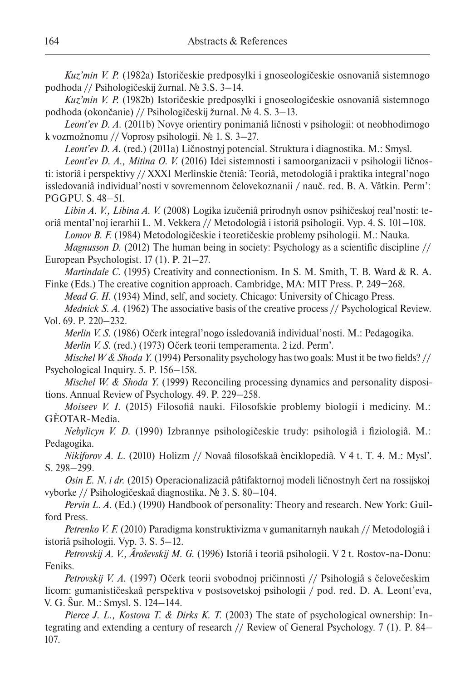*Kuz'min V. P.* (1982a) Istoričeskie predposylki i gnoseologičeskie osnovaniâ sistemnogo podhoda // Psihologičeskij žurnal. № 3.S. 3–14.

*Kuz'min V. P.* (1982b) Istoričeskie predposylki i gnoseologičeskie osnovaniâ sistemnogo podhoda (okončanie) // Psihologičeskij žurnal. № 4. S. 3–13.

*Leont'ev D. A.* (2011b) Novye orientiry ponimaniâ ličnosti v psihologii: ot neobhodimogo k vozmožnomu // Voprosy psihologii. № 1. S. 3–27.

*Leont'ev D. A.* (red.) (2011a) Ličnostnyj potencial. Struktura i diagnostika. M.: Smysl.

*Leont'ev D. A., Mitina O. V.* (2016) Idei sistemnosti i samoorganizacii v psihologii ličnosti: istoriâ i perspektivy // XXXI Merlinskie čteniâ: Teoriâ, metodologiâ i praktika integral'nogo issledovaniâ individual'nosti v sovremennom čelovekoznanii / nauč. red. B. A. Vâtkin. Perm': PGGPU. S. 48–51.

*Libin A. V., Libina A. V.* (2008) Logika izučeniâ prirodnyh osnov psihičeskoj real'nosti: teoriâ mental'noj ierarhii L. M. Vekkera // Metodologiâ i istoriâ psihologii. Vyp. 4. S. 101–108.

*Lomov B. F.* (1984) Metodologičeskie i teoretičeskie problemy psihologii. M.: Nauka.

*Magnusson D.* (2012) The human being in society: Psychology as a scientific discipline // European Psychologist. 17 (1). P. 21–27.

*Martindale C.* (1995) Creativity and connectionism. In S. M. Smith, T. B. Ward & R. A. Finke (Eds.) The creative cognition approach. Cambridge, MA: MIT Press. P. 249−268.

*Mead G. H.* (1934) Mind, self, and society. Chicago: University of Chicago Press.

*Mednick S. A.* (1962) The associative basis of the creative process // Psychological Review. Vol. 69. P. 220–232.

*Merlin V. S.* (1986) Očerk integral'nogo issledovaniâ individual'nosti. M.: Pedagogika. *Merlin V. S.* (red.) (1973) Očerk teorii temperamenta. 2 izd. Perm'.

*Mischel W & Shoda Y.* (1994) Personality psychology has two goals: Must it be two fields? // Psychological Inquiry. 5. P. 156–158.

*Mischel W. & Shoda Y.* (1999) Reconciling processing dynamics and personality dispositions. Annual Review of Psychology. 49. P. 229–258.

*Moiseev V. I.* (2015) Filosofiâ nauki. Filosofskie problemy biologii i mediciny. M.: GÈOTAR-Media.

*Nebylicyn V. D.* (1990) Izbrannye psihologičeskie trudy: psihologiâ i fiziologiâ. M.: Pedagogika.

*Nikiforov A. L.* (2010) Holizm // Novaâ filosofskaâ ènciklopediâ. V 4 t. T. 4. M.: Mysl'. S. 298–299.

*Osin E. N. i dr.* (2015) Operacionalizaciâ pâtifaktornoj modeli ličnostnyh čert na rossijskoj vyborke // Psihologičeskaâ diagnostika. № 3. S. 80–104.

*Pervin L. A.* (Ed.) (1990) Handbook of personality: Theory and research. New York: Guilford Press.

*Petrenko V. F.* (2010) Paradigma konstruktivizma v gumanitarnyh naukah // Metodologiâ i istoriâ psihologii. Vyp. 3. S. 5–12.

*Petrovskij A. V., Âroševskij M. G.* (1996) Istoriâ i teoriâ psihologii. V 2 t. Rostov-na-Donu: Feniks.

*Petrovskij V. A.* (1997) Očerk teorii svobodnoj pričinnosti // Psihologiâ s čelovečeskim licom: gumanističeskaâ perspektiva v postsovetskoj psihologii / pod. red. D. A. Leont'eva, V. G. Ŝur. M.: Smysl. S. 124–144.

*Pierce J. L., Kostova T. & Dirks K. T.* (2003) The state of psychological ownership: Integrating and extending a century of research // Review of General Psychology. 7 (1). P. 84– 107.